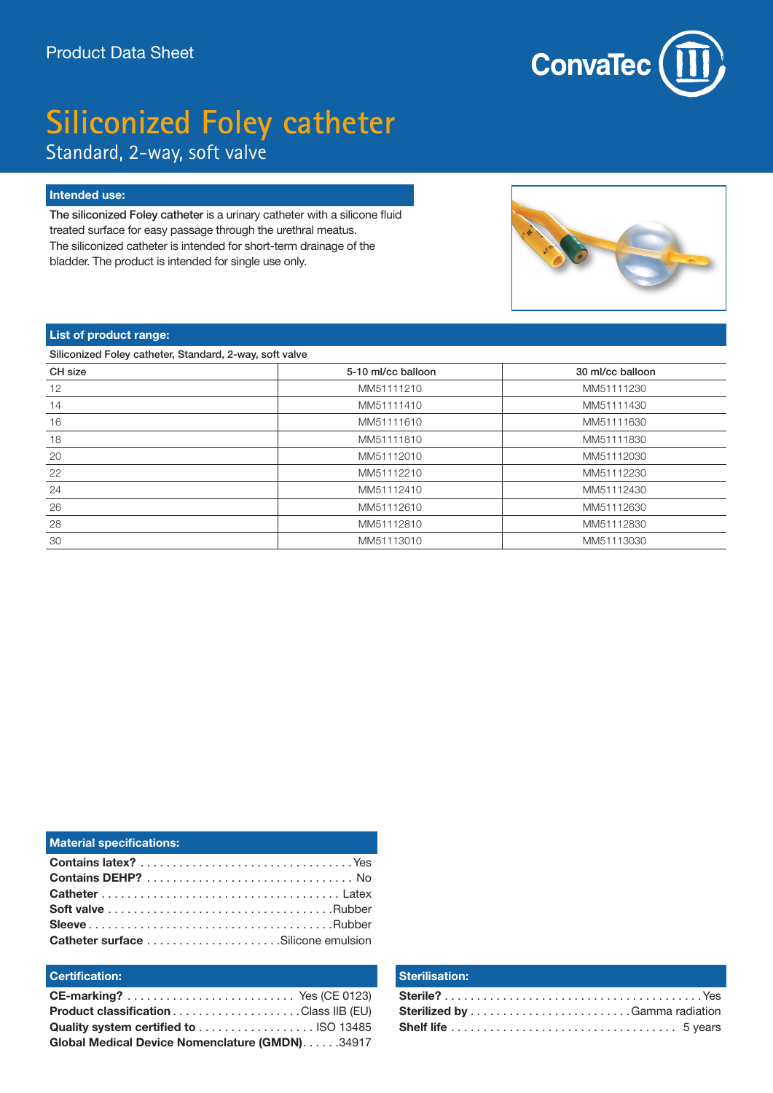

# **Siliconized Foley catheter**

Standard, 2-way, soft valve

#### **Intended use:**

The siliconized Foley catheter is a urinary catheter with a silicone fluid treated surface for easy passage through the urethral meatus. The siliconized catheter is intended for short-term drainage of the bladder. The product is intended for single use only.



#### **List of product range:**

Siliconized Foley catheter, Standard, 2-way, soft valve

| CH size | 5-10 ml/cc balloon | 30 ml/cc balloon |
|---------|--------------------|------------------|
| 12      | MM51111210         | MM51111230       |
| 14      | MM51111410         | MM51111430       |
| 16      | MM51111610         | MM51111630       |
| 18      | MM51111810         | MM51111830       |
| 20      | MM51112010         | MM51112030       |
| 22      | MM51112210         | MM51112230       |
| 24      | MM51112410         | MM51112430       |
| 26      | MM51112610         | MM51112630       |
| 28      | MM51112810         | MM51112830       |
| 30      | MM51113010         | MM51113030       |

| <b>Material specifications:</b> |  |
|---------------------------------|--|
|                                 |  |
|                                 |  |
|                                 |  |
|                                 |  |
|                                 |  |
|                                 |  |

#### **Certification:**

| <b>Product classification Class IIB (EU)</b>   |  |
|------------------------------------------------|--|
|                                                |  |
| Global Medical Device Nomenclature (GMDN)34917 |  |

#### **Sterilisation:**